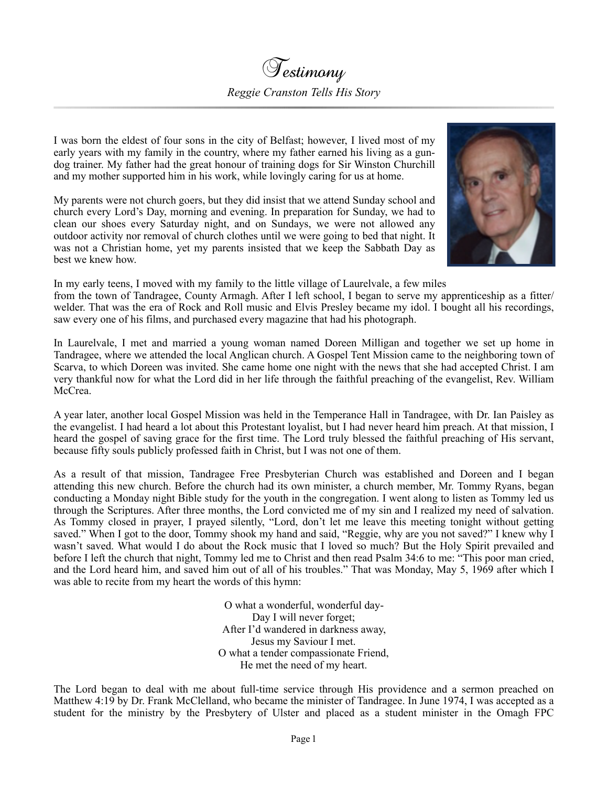I was born the eldest of four sons in the city of Belfast; however, I lived most of my early years with my family in the country, where my father earned his living as a gundog trainer. My father had the great honour of training dogs for Sir Winston Churchill and my mother supported him in his work, while lovingly caring for us at home.

My parents were not church goers, but they did insist that we attend Sunday school and church every Lord's Day, morning and evening. In preparation for Sunday, we had to clean our shoes every Saturday night, and on Sundays, we were not allowed any outdoor activity nor removal of church clothes until we were going to bed that night. It was not a Christian home, yet my parents insisted that we keep the Sabbath Day as best we knew how.



In my early teens, I moved with my family to the little village of Laurelvale, a few miles

from the town of Tandragee, County Armagh. After I left school, I began to serve my apprenticeship as a fitter/ welder. That was the era of Rock and Roll music and Elvis Presley became my idol. I bought all his recordings, saw every one of his films, and purchased every magazine that had his photograph.

In Laurelvale, I met and married a young woman named Doreen Milligan and together we set up home in Tandragee, where we attended the local Anglican church. A Gospel Tent Mission came to the neighboring town of Scarva, to which Doreen was invited. She came home one night with the news that she had accepted Christ. I am very thankful now for what the Lord did in her life through the faithful preaching of the evangelist, Rev. William McCrea.

A year later, another local Gospel Mission was held in the Temperance Hall in Tandragee, with Dr. Ian Paisley as the evangelist. I had heard a lot about this Protestant loyalist, but I had never heard him preach. At that mission, I heard the gospel of saving grace for the first time. The Lord truly blessed the faithful preaching of His servant, because fifty souls publicly professed faith in Christ, but I was not one of them.

As a result of that mission, Tandragee Free Presbyterian Church was established and Doreen and I began attending this new church. Before the church had its own minister, a church member, Mr. Tommy Ryans, began conducting a Monday night Bible study for the youth in the congregation. I went along to listen as Tommy led us through the Scriptures. After three months, the Lord convicted me of my sin and I realized my need of salvation. As Tommy closed in prayer, I prayed silently, "Lord, don't let me leave this meeting tonight without getting saved." When I got to the door, Tommy shook my hand and said, "Reggie, why are you not saved?" I knew why I wasn't saved. What would I do about the Rock music that I loved so much? But the Holy Spirit prevailed and before I left the church that night, Tommy led me to Christ and then read Psalm 34:6 to me: "This poor man cried, and the Lord heard him, and saved him out of all of his troubles." That was Monday, May 5, 1969 after which I was able to recite from my heart the words of this hymn:

> O what a wonderful, wonderful day-Day I will never forget; After I'd wandered in darkness away, Jesus my Saviour I met. O what a tender compassionate Friend, He met the need of my heart.

The Lord began to deal with me about full-time service through His providence and a sermon preached on Matthew 4:19 by Dr. Frank McClelland, who became the minister of Tandragee. In June 1974, I was accepted as a student for the ministry by the Presbytery of Ulster and placed as a student minister in the Omagh FPC